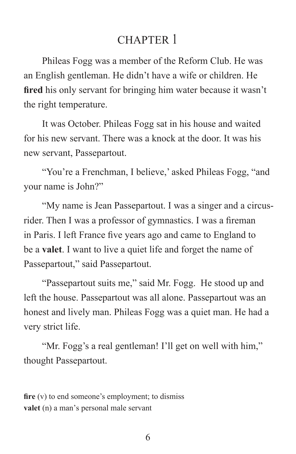# CHAPTER 1

Phileas Fogg was a member of the Reform Club. He was an English gentleman. He didn't have a wife or children. He **fired** his only servant for bringing him water because it wasn't the right temperature.

It was October. Phileas Fogg sat in his house and waited for his new servant. There was a knock at the door. It was his new servant, Passepartout.

"You're a Frenchman, I believe,' asked Phileas Fogg, "and your name is John?"

"My name is Jean Passepartout. I was a singer and a circusrider. Then I was a professor of gymnastics. I was a fireman in Paris. I left France five years ago and came to England to be a **valet**. I want to live a quiet life and forget the name of Passepartout," said Passepartout.

"Passepartout suits me," said Mr. Fogg. He stood up and left the house. Passepartout was all alone. Passepartout was an honest and lively man. Phileas Fogg was a quiet man. He had a very strict life.

"Mr. Fogg's a real gentleman! I'll get on well with him," thought Passepartout.

**fire** (v) to end someone's employment; to dismiss **valet** (n) a man's personal male servant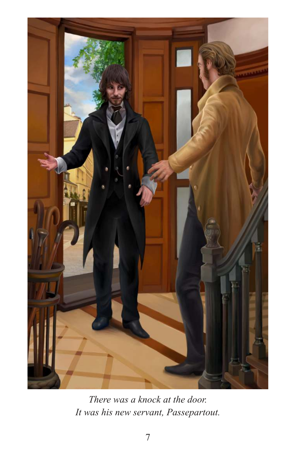

*There was a knock at the door. It was his new servant, Passepartout.*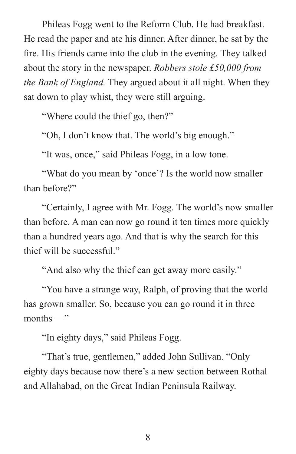Phileas Fogg went to the Reform Club. He had breakfast. He read the paper and ate his dinner. After dinner, he sat by the fire. His friends came into the club in the evening. They talked about the story in the newspaper. *Robbers stole £50,000 from the Bank of England.* They argued about it all night. When they sat down to play whist, they were still arguing.

"Where could the thief go, then?"

"Oh, I don't know that. The world's big enough."

"It was, once," said Phileas Fogg, in a low tone.

"What do you mean by 'once'? Is the world now smaller than before?"

"Certainly, I agree with Mr. Fogg. The world's now smaller than before. A man can now go round it ten times more quickly than a hundred years ago. And that is why the search for this thief will be successful."

"And also why the thief can get away more easily."

"You have a strange way, Ralph, of proving that the world has grown smaller. So, because you can go round it in three months —"

"In eighty days," said Phileas Fogg.

"That's true, gentlemen," added John Sullivan. "Only eighty days because now there's a new section between Rothal and Allahabad, on the Great Indian Peninsula Railway.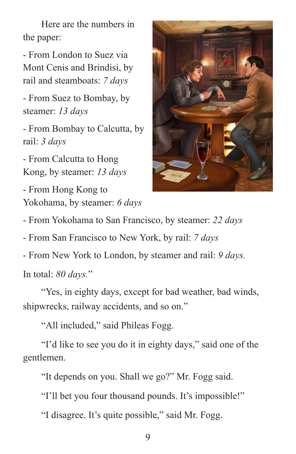Here are the numbers in the paper:

- From London to Suez via Mont Cenis and Brindisi, by rail and steamboats: *7 days*

- From Suez to Bombay, by steamer: *13 days*

- From Bombay to Calcutta, by rail: *3 days*

- From Calcutta to Hong Kong, by steamer: *13 days*

- From Hong Kong to Yokohama, by steamer: *6 days*



- From Yokohama to San Francisco, by steamer: *22 days*

- From San Francisco to New York, by rail: *7 days*

- From New York to London, by steamer and rail: *9 days.* 

In total: *80 days.*"

"Yes, in eighty days, except for bad weather, bad winds, shipwrecks, railway accidents, and so on."

"All included," said Phileas Fogg.

"I'd like to see you do it in eighty days," said one of the gentlemen.

"It depends on you. Shall we go?" Mr. Fogg said.

"I'll bet you four thousand pounds. It's impossible!"

"I disagree. It's quite possible," said Mr. Fogg.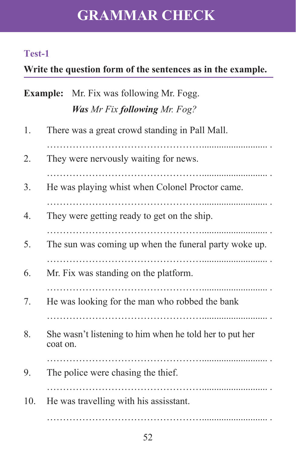# **GRAMMAR CHECK**

## **Test-1**

## **Write the question form of the sentences as in the example.**

|     | <b>Example:</b> Mr. Fix was following Mr. Fogg.                     |
|-----|---------------------------------------------------------------------|
|     | <b>Was Mr Fix following Mr. Fog?</b>                                |
| 1.  | There was a great crowd standing in Pall Mall.                      |
| 2.  | They were nervously waiting for news.                               |
| 3.  | He was playing whist when Colonel Proctor came.                     |
| 4.  | They were getting ready to get on the ship.                         |
| 5.  | The sun was coming up when the funeral party woke up.               |
| 6.  | Mr. Fix was standing on the platform.                               |
| 7.  | He was looking for the man who robbed the bank                      |
| 8.  | She wasn't listening to him when he told her to put her<br>coat on. |
| 9.  | The police were chasing the thief.                                  |
| 10. | He was travelling with his assisstant.                              |
|     |                                                                     |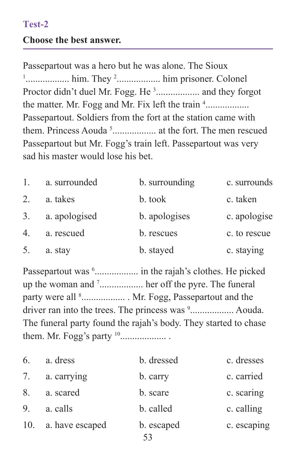### **Test-2**

#### **Choose the best answer.**

Passepartout was a hero but he was alone. The Sioux 1 .................. him. They <sup>2</sup> .................. him prisoner. Colonel Proctor didn't duel Mr. Fogg. He<sup>3</sup>................... and they forgot the matter. Mr. Fogg and Mr. Fix left the train <sup>4</sup>................... Passepartout. Soldiers from the fort at the station came with them. Princess Aouda<sup>5</sup>........................ at the fort. The men rescued Passepartout but Mr. Fogg's train left. Passepartout was very sad his master would lose his bet.

| $\mathbf{1}$ . | a. surrounded | b. surrounding | c. surrounds |
|----------------|---------------|----------------|--------------|
| 2.             | a. takes      | b. took        | c. taken     |
| 3 <sub>1</sub> | a. apologised | b. apologises  | c. apologise |
| 4.             | a. rescued    | b. rescues     | c. to rescue |
| 5.             | a. stay       | b. stayed      | c. staying   |

Passepartout was <sup>6</sup>..................... in the rajah's clothes. He picked up the woman and <sup>7</sup> .................. her off the pyre. The funeral party were all <sup>8</sup>.................... Mr. Fogg, Passepartout and the driver ran into the trees. The princess was <sup>9</sup>................... Aouda. The funeral party found the rajah's body. They started to chase them. Mr. Fogg's party <sup>10</sup> ................... .

| 6.  | a. dress        | b. dressed | c. dresses  |
|-----|-----------------|------------|-------------|
| 7.  | a. carrying     | b. carry   | c. carried  |
| 8.  | a. scared       | b. scare   | c. scaring  |
| 9.  | a. calls        | b. called  | c. calling  |
| 10. | a. have escaped | b. escaped | c. escaping |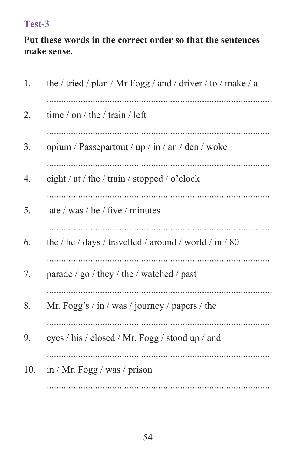## Test-3

### Put these words in the correct order so that the sentences make sense.

| 1.  | the / tried / plan / Mr Fogg / and / driver / to / make / a |
|-----|-------------------------------------------------------------|
| 2.  | time / on / the / train / left                              |
| 3.  | opium / Passepartout / up / in / an / den / woke            |
| 4.  | eight / at / the / train / stopped / o'clock                |
| 5.  | late / was / he / five / minutes                            |
| 6.  | the / he / days / travelled / around / world / in / 80      |
| 7.  | parade / go / they / the / watched / past                   |
| 8.  | Mr. Fogg's / in / was / journey / papers / the              |
| 9.  | eyes / his / closed / Mr. Fogg / stood up / and             |
| 10. | in / Mr. Fogg / was / prison                                |
|     |                                                             |